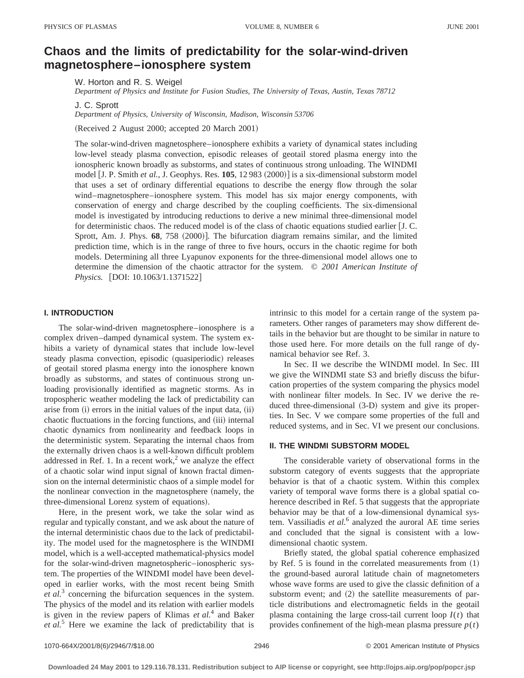# **Chaos and the limits of predictability for the solar-wind-driven magnetosphere–ionosphere system**

W. Horton and R. S. Weigel

*Department of Physics and Institute for Fusion Studies, The University of Texas, Austin, Texas 78712*

J. C. Sprott

*Department of Physics, University of Wisconsin, Madison, Wisconsin 53706*

(Received 2 August 2000; accepted 20 March 2001)

The solar-wind-driven magnetosphere–ionosphere exhibits a variety of dynamical states including low-level steady plasma convection, episodic releases of geotail stored plasma energy into the ionospheric known broadly as substorms, and states of continuous strong unloading. The WINDMI model  $[J, P. S$ mith *et al.*, J. Geophys. Res. 105, 12 983  $(2000)$  is a six-dimensional substorm model that uses a set of ordinary differential equations to describe the energy flow through the solar wind–magnetosphere–ionosphere system. This model has six major energy components, with conservation of energy and charge described by the coupling coefficients. The six-dimensional model is investigated by introducing reductions to derive a new minimal three-dimensional model for deterministic chaos. The reduced model is of the class of chaotic equations studied earlier  $J. C.$ Sprott, Am. J. Phys. 68, 758 (2000)]. The bifurcation diagram remains similar, and the limited prediction time, which is in the range of three to five hours, occurs in the chaotic regime for both models. Determining all three Lyapunov exponents for the three-dimensional model allows one to determine the dimension of the chaotic attractor for the system. © *2001 American Institute of Physics.* [DOI: 10.1063/1.1371522]

## **I. INTRODUCTION**

The solar-wind-driven magnetosphere–ionosphere is a complex driven–damped dynamical system. The system exhibits a variety of dynamical states that include low-level steady plasma convection, episodic (quasiperiodic) releases of geotail stored plasma energy into the ionosphere known broadly as substorms, and states of continuous strong unloading provisionally identified as magnetic storms. As in tropospheric weather modeling the lack of predictability can arise from  $(i)$  errors in the initial values of the input data,  $(ii)$ chaotic fluctuations in the forcing functions, and (iii) internal chaotic dynamics from nonlinearity and feedback loops in the deterministic system. Separating the internal chaos from the externally driven chaos is a well-known difficult problem addressed in Ref. 1. In a recent work,<sup>2</sup> we analyze the effect of a chaotic solar wind input signal of known fractal dimension on the internal deterministic chaos of a simple model for the nonlinear convection in the magnetosphere (namely, the three-dimensional Lorenz system of equations).

Here, in the present work, we take the solar wind as regular and typically constant, and we ask about the nature of the internal deterministic chaos due to the lack of predictability. The model used for the magnetosphere is the WINDMI model, which is a well-accepted mathematical-physics model for the solar-wind-driven magnetospheric–ionospheric system. The properties of the WINDMI model have been developed in earlier works, with the most recent being Smith *et al.*<sup>3</sup> concerning the bifurcation sequences in the system. The physics of the model and its relation with earlier models is given in the review papers of Klimas *et al.*<sup>4</sup> and Baker *et al.*<sup>5</sup> Here we examine the lack of predictability that is intrinsic to this model for a certain range of the system parameters. Other ranges of parameters may show different details in the behavior but are thought to be similar in nature to those used here. For more details on the full range of dynamical behavior see Ref. 3.

In Sec. II we describe the WINDMI model. In Sec. III we give the WINDMI state S3 and briefly discuss the bifurcation properties of the system comparing the physics model with nonlinear filter models. In Sec. IV we derive the reduced three-dimensional  $(3-D)$  system and give its properties. In Sec. V we compare some properties of the full and reduced systems, and in Sec. VI we present our conclusions.

## **II. THE WINDMI SUBSTORM MODEL**

The considerable variety of observational forms in the substorm category of events suggests that the appropriate behavior is that of a chaotic system. Within this complex variety of temporal wave forms there is a global spatial coherence described in Ref. 5 that suggests that the appropriate behavior may be that of a low-dimensional dynamical system. Vassiliadis *et al.*<sup>6</sup> analyzed the auroral AE time series and concluded that the signal is consistent with a lowdimensional chaotic system.

Briefly stated, the global spatial coherence emphasized by Ref. 5 is found in the correlated measurements from  $(1)$ the ground-based auroral latitude chain of magnetometers whose wave forms are used to give the classic definition of a substorm event; and  $(2)$  the satellite measurements of particle distributions and electromagnetic fields in the geotail plasma containing the large cross-tail current loop  $I(t)$  that provides confinement of the high-mean plasma pressure  $p(t)$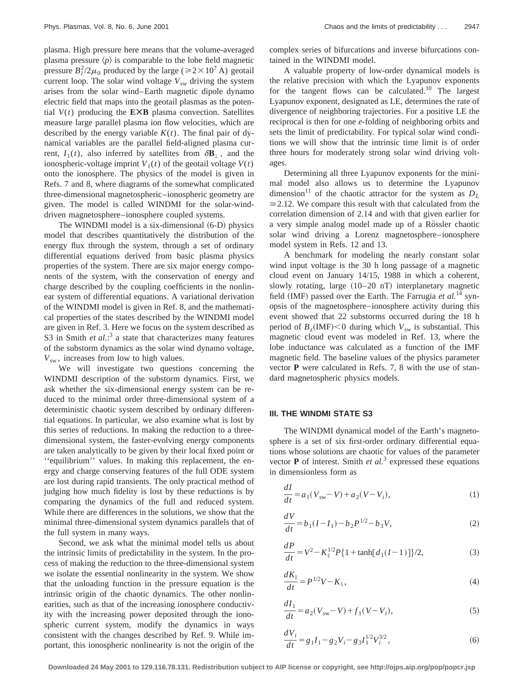plasma. High pressure here means that the volume-averaged plasma pressure  $\langle p \rangle$  is comparable to the lobe field magnetic pressure  $B_l^2/2\mu_0$  produced by the large ( $\geq 2 \times 10^7$  A) geotail current loop. The solar wind voltage  $V_{sw}$  driving the system arises from the solar wind–Earth magnetic dipole dynamo electric field that maps into the geotail plasmas as the potential  $V(t)$  producing the **EXB** plasma convection. Satellites measure large parallel plasma ion flow velocities, which are described by the energy variable  $K(t)$ . The final pair of dynamical variables are the parallel field-aligned plasma current,  $I_1(t)$ , also inferred by satellites from  $\delta \mathbf{B}_{\perp}$ , and the ionospheric-voltage imprint  $V_1(t)$  of the geotail voltage  $V(t)$ onto the ionosphere. The physics of the model is given in Refs. 7 and 8, where diagrams of the somewhat complicated three-dimensional magnetospheric–ionospheric geometry are given. The model is called WINDMI for the solar-winddriven magnetosphere–ionosphere coupled systems.

The WINDMI model is a six-dimensional  $(6-D)$  physics model that describes quantitatively the distribution of the energy flux through the system, through a set of ordinary differential equations derived from basic plasma physics properties of the system. There are six major energy components of the system, with the conservation of energy and charge described by the coupling coefficients in the nonlinear system of differential equations. A variational derivation of the WINDMI model is given in Ref. 8, and the mathematical properties of the states described by the WINDMI model are given in Ref. 3. Here we focus on the system described as S3 in Smith *et al.*<sup>3</sup> a state that characterizes many features of the substorm dynamics as the solar wind dynamo voltage,  $V_{sw}$ , increases from low to high values.

We will investigate two questions concerning the WINDMI description of the substorm dynamics. First, we ask whether the six-dimensional energy system can be reduced to the minimal order three-dimensional system of a deterministic chaotic system described by ordinary differential equations. In particular, we also examine what is lost by this series of reductions. In making the reduction to a threedimensional system, the faster-evolving energy components are taken analytically to be given by their local fixed point or ''equilibrium'' values. In making this replacement, the energy and charge conserving features of the full ODE system are lost during rapid transients. The only practical method of judging how much fidelity is lost by these reductions is by comparing the dynamics of the full and reduced system. While there are differences in the solutions, we show that the minimal three-dimensional system dynamics parallels that of the full system in many ways.

Second, we ask what the minimal model tells us about the intrinsic limits of predictability in the system. In the process of making the reduction to the three-dimensional system we isolate the essential nonlinearity in the system. We show that the unloading function in the pressure equation is the intrinsic origin of the chaotic dynamics. The other nonlinearities, such as that of the increasing ionosphere conductivity with the increasing power deposited through the ionospheric current system, modify the dynamics in ways consistent with the changes described by Ref. 9. While important, this ionospheric nonlinearity is not the origin of the complex series of bifurcations and inverse bifurcations contained in the WINDMI model.

A valuable property of low-order dynamical models is the relative precision with which the Lyapunov exponents for the tangent flows can be calculated.<sup>10</sup> The largest Lyapunov exponent, designated as LE, determines the rate of divergence of neighboring trajectories. For a positive LE the reciprocal is then for one *e*-folding of neighboring orbits and sets the limit of predictability. For typical solar wind conditions we will show that the intrinsic time limit is of order three hours for moderately strong solar wind driving voltages.

Determining all three Lyapunov exponents for the minimal model also allows us to determine the Lyapunov dimension<sup>11</sup> of the chaotic attractor for the system as  $D_L$  $\approx$  2.12. We compare this result with that calculated from the correlation dimension of 2.14 and with that given earlier for a very simple analog model made up of a Rössler chaotic solar wind driving a Lorenz magnetosphere–ionosphere model system in Refs. 12 and 13.

A benchmark for modeling the nearly constant solar wind input voltage is the 30 h long passage of a magnetic cloud event on January 14/15, 1988 in which a coherent, slowly rotating, large  $(10–20$  nT) interplanetary magnetic field  $(MF)$  passed over the Earth. The Farrugia *et al.*<sup>14</sup> synopsis of the magnetosphere–ionosphere activity during this event showed that 22 substorms occurred during the 18 h period of  $B_z(\text{IMF})<0$  during which  $V_{sw}$  is substantial. This magnetic cloud event was modeled in Ref. 13, where the lobe inductance was calculated as a function of the IMF magnetic field. The baseline values of the physics parameter vector **P** were calculated in Refs. 7, 8 with the use of standard magnetospheric physics models.

### **III. THE WINDMI STATE S3**

The WINDMI dynamical model of the Earth's magnetosphere is a set of six first-order ordinary differential equations whose solutions are chaotic for values of the parameter vector **P** of interest. Smith *et al.*<sup>3</sup> expressed these equations in dimensionless form as

$$
\frac{dI}{dt} = a_1(V_{sw} - V) + a_2(V - V_i),
$$
\n(1)

$$
\frac{dV}{dt} = b_1(I - I_1) - b_2 P^{1/2} - b_3 V,\tag{2}
$$

$$
\frac{dP}{dt} = V^2 - K_{\parallel}^{1/2} P\{1 + \tanh[d_1(I-1)]\}/2,\tag{3}
$$

$$
\frac{dK_{\parallel}}{dt} = P^{1/2}V - K_{\parallel},\tag{4}
$$

$$
\frac{dI_1}{dt} = a_2(V_{sw} - V) + f_1(V - V_i),
$$
\n(5)

$$
\frac{dV_i}{dt} = g_1 I_1 - g_2 V_i - g_3 I_1^{1/2} V_i^{3/2},\tag{6}
$$

**Downloaded 24 May 2001 to 129.116.78.131. Redistribution subject to AIP license or copyright, see http://ojps.aip.org/pop/popcr.jsp**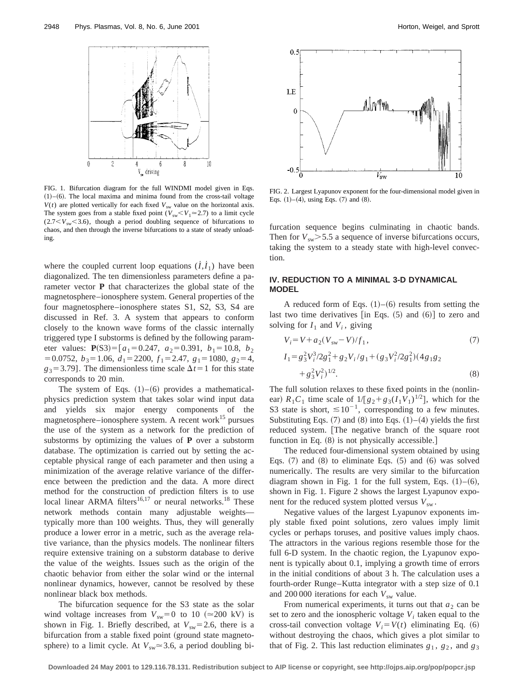

FIG. 1. Bifurcation diagram for the full WINDMI model given in Eqs.  $(1)$ – $(6)$ . The local maxima and minima found from the cross-tail voltage  $V(t)$  are plotted vertically for each fixed  $V_{sw}$  value on the horizontal axis. The system goes from a stable fixed point ( $V_{sw} < V_1 \approx 2.7$ ) to a limit cycle  $(2.7 < V_{sw} < 3.6)$ , though a period doubling sequence of bifurcations to chaos, and then through the inverse bifurcations to a state of steady unloading.

where the coupled current loop equations  $(\dot{I}, \dot{I})$  have been diagonalized. The ten dimensionless parameters define a parameter vector **P** that characterizes the global state of the magnetosphere–ionosphere system. General properties of the four magnetosphere–ionosphere states S1, S2, S3, S4 are discussed in Ref. 3. A system that appears to conform closely to the known wave forms of the classic internally triggered type I substorms is defined by the following parameter values:  $P(S3) = [a_1 = 0.247, a_2 = 0.391, b_1 = 10.8, b_2]$  $=0.0752, b_3=1.06, d_1=2200, f_1=2.47, g_1=1080, g_2=4,$  $g_3$ =3.79]. The dimensionless time scale  $\Delta t$ =1 for this state corresponds to 20 min.

The system of Eqs.  $(1)$ – $(6)$  provides a mathematicalphysics prediction system that takes solar wind input data and yields six major energy components of the magnetosphere–ionosphere system. A recent work $^{15}$  pursues the use of the system as a network for the prediction of substorms by optimizing the values of **P** over a substorm database. The optimization is carried out by setting the acceptable physical range of each parameter and then using a minimization of the average relative variance of the difference between the prediction and the data. A more direct method for the construction of prediction filters is to use local linear ARMA filters<sup>16,17</sup> or neural networks.<sup>18</sup> These network methods contain many adjustable weights typically more than 100 weights. Thus, they will generally produce a lower error in a metric, such as the average relative variance, than the physics models. The nonlinear filters require extensive training on a substorm database to derive the value of the weights. Issues such as the origin of the chaotic behavior from either the solar wind or the internal nonlinear dynamics, however, cannot be resolved by these nonlinear black box methods.

The bifurcation sequence for the S3 state as the solar wind voltage increases from  $V_{sw}$ =0 to 10 ( $\simeq$ 200 kV) is shown in Fig. 1. Briefly described, at  $V_{sw}$ =2.6, there is a bifurcation from a stable fixed point (ground state magnetosphere) to a limit cycle. At  $V_{sw} \approx 3.6$ , a period doubling bi-



FIG. 2. Largest Lyapunov exponent for the four-dimensional model given in Eqs.  $(1)$ – $(4)$ , using Eqs.  $(7)$  and  $(8)$ .

furcation sequence begins culminating in chaotic bands. Then for  $V_{\text{sw}}$  > 5.5 a sequence of inverse bifurcations occurs, taking the system to a steady state with high-level convection.

# **IV. REDUCTION TO A MINIMAL 3-D DYNAMICAL MODEL**

A reduced form of Eqs.  $(1)$ – $(6)$  results from setting the last two time derivatives  $\left[$  in Eqs.  $(5)$  and  $(6)$  $\right]$  to zero and solving for  $I_1$  and  $V_i$ , giving

$$
V_i = V + a_2 (V_{sw} - V)/f_1,
$$
  
\n
$$
I_1 = g_3^2 V_i^3 / 2g_1^2 + g_2 V_i / g_1 + (g_3 V_i^2 / 2g_1^2) (4g_1 g_2 + g_3^2 V_i^2)^{1/2}.
$$
\n(8)

The full solution relaxes to these fixed points in the (nonlinear)  $R_1C_1$  time scale of  $1/[g_2+g_3(I_1V_1)^{1/2}]$ , which for the S3 state is short,  $\leq 10^{-1}$ , corresponding to a few minutes. Substituting Eqs.  $(7)$  and  $(8)$  into Eqs.  $(1)$ – $(4)$  yields the first reduced system. The negative branch of the square root function in Eq.  $(8)$  is not physically accessible.

The reduced four-dimensional system obtained by using Eqs.  $(7)$  and  $(8)$  to eliminate Eqs.  $(5)$  and  $(6)$  was solved numerically. The results are very similar to the bifurcation diagram shown in Fig. 1 for the full system, Eqs.  $(1)$ – $(6)$ , shown in Fig. 1. Figure 2 shows the largest Lyapunov exponent for the reduced system plotted versus  $V_{\text{sw}}$ .

Negative values of the largest Lyapunov exponents imply stable fixed point solutions, zero values imply limit cycles or perhaps toruses, and positive values imply chaos. The attractors in the various regions resemble those for the full 6-D system. In the chaotic region, the Lyapunov exponent is typically about 0.1, implying a growth time of errors in the initial conditions of about 3 h. The calculation uses a fourth-order Runge–Kutta integrator with a step size of 0.1 and 200 000 iterations for each  $V_{\text{sw}}$  value.

From numerical experiments, it turns out that  $a_2$  can be set to zero and the ionospheric voltage  $V_i$  taken equal to the cross-tail convection voltage  $V_i = V(t)$  eliminating Eq. (6) without destroying the chaos, which gives a plot similar to that of Fig. 2. This last reduction eliminates  $g_1$ ,  $g_2$ , and  $g_3$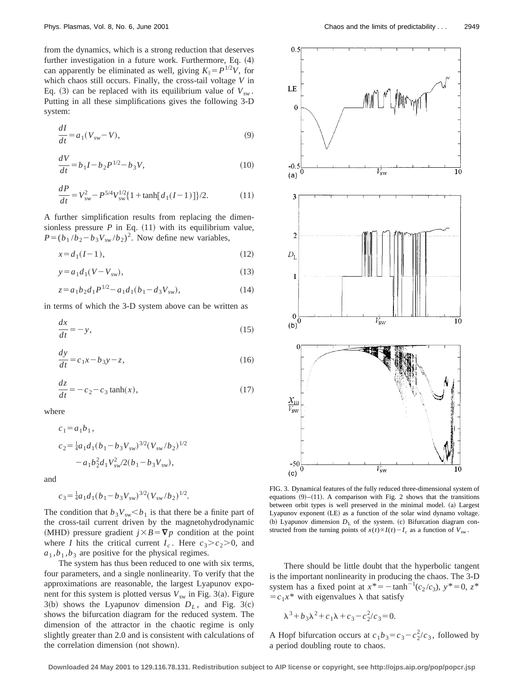from the dynamics, which is a strong reduction that deserves further investigation in a future work. Furthermore, Eq.  $(4)$ can apparently be eliminated as well, giving  $K_{\parallel} = P^{1/2}V$ , for which chaos still occurs. Finally, the cross-tail voltage *V* in Eq. (3) can be replaced with its equilibrium value of  $V_{sw}$ . Putting in all these simplifications gives the following 3-D system:

$$
\frac{dI}{dt} = a_1(V_{\text{sw}} - V),\tag{9}
$$

$$
\frac{dV}{dt} = b_1 I - b_2 P^{1/2} - b_3 V,\tag{10}
$$

$$
\frac{dP}{dt} = V_{\text{sw}}^2 - P^{5/4} V_{\text{sw}}^{1/2} \{ 1 + \tanh\left[d_1(I-1)\right] \}/2. \tag{11}
$$

A further simplification results from replacing the dimensionless pressure  $P$  in Eq.  $(11)$  with its equilibrium value,  $P=(b_1/b_2-b_3V_{sw}/b_2)^2$ . Now define new variables,

$$
x = d_1(I-1),
$$
\n(12)

$$
y = a_1 d_1 (V - V_{sw}), \t\t(13)
$$

$$
z = a_1 b_2 d_1 P^{1/2} - a_1 d_1 (b_1 - d_3 V_{sw}),
$$
\n(14)

in terms of which the 3-D system above can be written as

$$
\frac{dx}{dt} = -y,\tag{15}
$$

$$
\frac{dy}{dt} = c_1 x - b_3 y - z,\tag{16}
$$

$$
\frac{dz}{dt} = -c_2 - c_3 \tanh(x),\tag{17}
$$

where

$$
c_1 = a_1 b_1,
$$
  
\n
$$
c_2 = \frac{1}{4} a_1 d_1 (b_1 - b_3 V_{sw})^{3/2} (V_{sw}/b_2)^{1/2}
$$
  
\n
$$
- a_1 b_2^2 d_1 V_{sw}^2 / 2 (b_1 - b_3 V_{sw}),
$$

and

$$
c_3 = \frac{1}{4}a_1d_1(b_1 - b_3V_{sw})^{3/2}(V_{sw}/b_2)^{1/2}.
$$

The condition that  $b_3V_{sw}$   $\lt b_1$  is that there be a finite part of the cross-tail current driven by the magnetohydrodynamic (MHD) pressure gradient  $j \times B = \nabla p$  condition at the point where *I* hits the critical current  $I_c$ . Here  $c_3 > c_2 > 0$ , and  $a_1$ , $b_1$ , $b_3$  are positive for the physical regimes.

The system has thus been reduced to one with six terms, four parameters, and a single nonlinearity. To verify that the approximations are reasonable, the largest Lyapunov exponent for this system is plotted versus  $V_{sw}$  in Fig. 3(a). Figure  $3(b)$  shows the Lyapunov dimension  $D<sub>L</sub>$ , and Fig. 3(c) shows the bifurcation diagram for the reduced system. The dimension of the attractor in the chaotic regime is only slightly greater than 2.0 and is consistent with calculations of the correlation dimension (not shown).



FIG. 3. Dynamical features of the fully reduced three-dimensional system of equations  $(9)$ – $(11)$ . A comparison with Fig. 2 shows that the transitions between orbit types is well preserved in the minimal model. (a) Largest Lyapunov exponent (LE) as a function of the solar wind dynamo voltage. (b) Lyapunov dimension  $D_{\text{L}}$  of the system. (c) Bifurcation diagram constructed from the turning points of  $x(t) \propto I(t) - I_c$  as a function of  $V_{sw}$ .

There should be little doubt that the hyperbolic tangent is the important nonlinearity in producing the chaos. The 3-D system has a fixed point at  $x^* = -\tanh^{-1}(c_2/c_3)$ ,  $y^* = 0$ ,  $z^*$  $=c_1x^*$  with eigenvalues  $\lambda$  that satisfy

$$
\lambda^3 + b_3 \lambda^2 + c_1 \lambda + c_3 - c_2^2/c_3 = 0.
$$

A Hopf bifurcation occurs at  $c_1b_3 = c_3 - c_2^2/c_3$ , followed by a period doubling route to chaos.

**Downloaded 24 May 2001 to 129.116.78.131. Redistribution subject to AIP license or copyright, see http://ojps.aip.org/pop/popcr.jsp**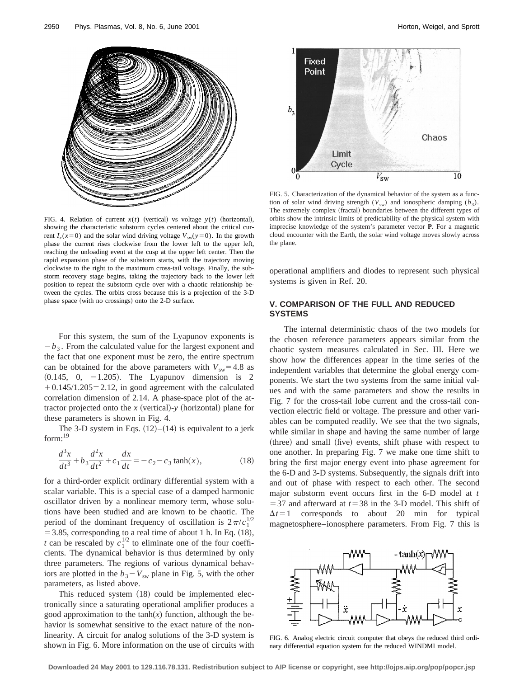

FIG. 4. Relation of current  $x(t)$  (vertical) vs voltage  $y(t)$  (horizontal), showing the characteristic substorm cycles centered about the critical current  $I_c(x=0)$  and the solar wind driving voltage  $V_{sw}(y=0)$ . In the growth phase the current rises clockwise from the lower left to the upper left, reaching the unloading event at the cusp at the upper left center. Then the rapid expansion phase of the substorm starts, with the trajectory moving clockwise to the right to the maximum cross-tail voltage. Finally, the substorm recovery stage begins, taking the trajectory back to the lower left position to repeat the substorm cycle over with a chaotic relationship between the cycles. The orbits cross because this is a projection of the 3-D phase space (with no crossings) onto the 2-D surface.

For this system, the sum of the Lyapunov exponents is  $-b_3$ . From the calculated value for the largest exponent and the fact that one exponent must be zero, the entire spectrum can be obtained for the above parameters with  $V_{sw}$ =4.8 as  $(0.145, 0, -1.205)$ . The Lyapunov dimension is 2  $+0.145/1.205=2.12$ , in good agreement with the calculated correlation dimension of 2.14. A phase-space plot of the attractor projected onto the  $x$  (vertical)- $y$  (horizontal) plane for these parameters is shown in Fig. 4.

The 3-D system in Eqs.  $(12)$ – $(14)$  is equivalent to a jerk form:<sup>19</sup>

$$
\frac{d^3x}{dt^3} + b_3 \frac{d^2x}{dt^2} + c_1 \frac{dx}{dt} = -c_2 - c_3 \tanh(x),
$$
 (18)

for a third-order explicit ordinary differential system with a scalar variable. This is a special case of a damped harmonic oscillator driven by a nonlinear memory term, whose solutions have been studied and are known to be chaotic. The period of the dominant frequency of oscillation is  $2\pi/c_1^{1/2}$  $=$  3.85, corresponding to a real time of about 1 h. In Eq.  $(18)$ , *t* can be rescaled by  $c_1^{1/2}$  to eliminate one of the four coefficients. The dynamical behavior is thus determined by only three parameters. The regions of various dynamical behaviors are plotted in the  $b_3 - V_{sw}$  plane in Fig. 5, with the other parameters, as listed above.

This reduced system  $(18)$  could be implemented electronically since a saturating operational amplifier produces a good approximation to the tanh(*x*) function, although the behavior is somewhat sensitive to the exact nature of the nonlinearity. A circuit for analog solutions of the 3-D system is shown in Fig. 6. More information on the use of circuits with



FIG. 5. Characterization of the dynamical behavior of the system as a function of solar wind driving strength  $(V_{sw})$  and ionospheric damping  $(b_3)$ . The extremely complex (fractal) boundaries between the different types of orbits show the intrinsic limits of predictability of the physical system with imprecise knowledge of the system's parameter vector **P**. For a magnetic cloud encounter with the Earth, the solar wind voltage moves slowly across the plane.

operational amplifiers and diodes to represent such physical systems is given in Ref. 20.

## **V. COMPARISON OF THE FULL AND REDUCED SYSTEMS**

The internal deterministic chaos of the two models for the chosen reference parameters appears similar from the chaotic system measures calculated in Sec. III. Here we show how the differences appear in the time series of the independent variables that determine the global energy components. We start the two systems from the same initial values and with the same parameters and show the results in Fig. 7 for the cross-tail lobe current and the cross-tail convection electric field or voltage. The pressure and other variables can be computed readily. We see that the two signals, while similar in shape and having the same number of large (three) and small (five) events, shift phase with respect to one another. In preparing Fig. 7 we make one time shift to bring the first major energy event into phase agreement for the 6-D and 3-D systems. Subsequently, the signals drift into and out of phase with respect to each other. The second major substorm event occurs first in the 6-D model at *t*  $=$  37 and afterward at  $t = 38$  in the 3-D model. This shift of  $\Delta t = 1$  corresponds to about 20 min for typical magnetosphere–ionosphere parameters. From Fig. 7 this is



FIG. 6. Analog electric circuit computer that obeys the reduced third ordinary differential equation system for the reduced WINDMI model.

**Downloaded 24 May 2001 to 129.116.78.131. Redistribution subject to AIP license or copyright, see http://ojps.aip.org/pop/popcr.jsp**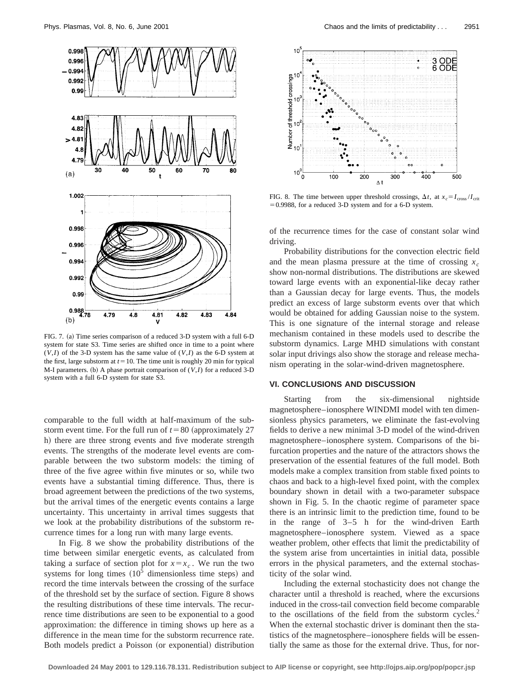

FIG. 7. (a) Time series comparison of a reduced 3-D system with a full 6-D system for state S3. Time series are shifted once in time to a point where  $(V, I)$  of the 3-D system has the same value of  $(V, I)$  as the 6-D system at the first, large substorm at  $t=10$ . The time unit is roughly 20 min for typical  $M-I$  parameters. (b) A phase portrait comparison of  $(V,I)$  for a reduced 3-D system with a full 6-D system for state S3.

comparable to the full width at half-maximum of the substorm event time. For the full run of  $t=80$  (approximately 27) h) there are three strong events and five moderate strength events. The strengths of the moderate level events are comparable between the two substorm models: the timing of three of the five agree within five minutes or so, while two events have a substantial timing difference. Thus, there is broad agreement between the predictions of the two systems, but the arrival times of the energetic events contains a large uncertainty. This uncertainty in arrival times suggests that we look at the probability distributions of the substorm recurrence times for a long run with many large events.

In Fig. 8 we show the probability distributions of the time between similar energetic events, as calculated from taking a surface of section plot for  $x=x_c$ . We run the two systems for long times  $(10^5$  dimensionless time steps) and record the time intervals between the crossing of the surface of the threshold set by the surface of section. Figure 8 shows the resulting distributions of these time intervals. The recurrence time distributions are seen to be exponential to a good approximation: the difference in timing shows up here as a difference in the mean time for the substorm recurrence rate. Both models predict a Poisson (or exponential) distribution



FIG. 8. The time between upper threshold crossings,  $\Delta t$ , at  $x_c = I_{cross}/I_{crit}$  $= 0.9988$ , for a reduced 3-D system and for a 6-D system.

of the recurrence times for the case of constant solar wind driving.

Probability distributions for the convection electric field and the mean plasma pressure at the time of crossing  $x_c$ show non-normal distributions. The distributions are skewed toward large events with an exponential-like decay rather than a Gaussian decay for large events. Thus, the models predict an excess of large substorm events over that which would be obtained for adding Gaussian noise to the system. This is one signature of the internal storage and release mechanism contained in these models used to describe the substorm dynamics. Large MHD simulations with constant solar input drivings also show the storage and release mechanism operating in the solar-wind-driven magnetosphere.

## **VI. CONCLUSIONS AND DISCUSSION**

Starting from the six-dimensional nightside magnetosphere–ionosphere WINDMI model with ten dimensionless physics parameters, we eliminate the fast-evolving fields to derive a new minimal 3-D model of the wind-driven magnetosphere–ionosphere system. Comparisons of the bifurcation properties and the nature of the attractors shows the preservation of the essential features of the full model. Both models make a complex transition from stable fixed points to chaos and back to a high-level fixed point, with the complex boundary shown in detail with a two-parameter subspace shown in Fig. 5. In the chaotic regime of parameter space there is an intrinsic limit to the prediction time, found to be in the range of 3–5 h for the wind-driven Earth magnetosphere–ionosphere system. Viewed as a space weather problem, other effects that limit the predictability of the system arise from uncertainties in initial data, possible errors in the physical parameters, and the external stochasticity of the solar wind.

Including the external stochasticity does not change the character until a threshold is reached, where the excursions induced in the cross-tail convection field become comparable to the oscillations of the field from the substorm cycles.<sup>2</sup> When the external stochastic driver is dominant then the statistics of the magnetosphere–ionosphere fields will be essentially the same as those for the external drive. Thus, for nor